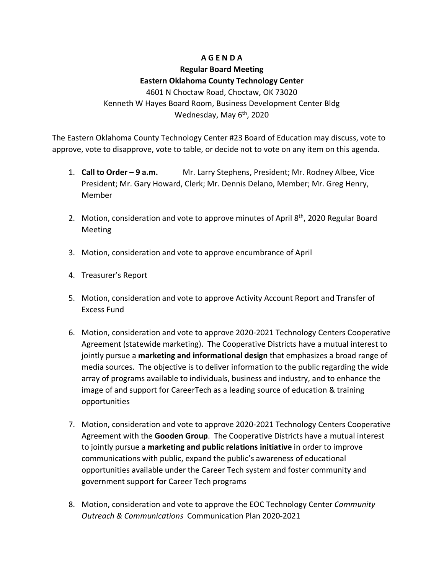# **A G E N D A**

## **Regular Board Meeting**

## **Eastern Oklahoma County Technology Center**

4601 N Choctaw Road, Choctaw, OK 73020 Kenneth W Hayes Board Room, Business Development Center Bldg Wednesday, May 6<sup>th</sup>, 2020

The Eastern Oklahoma County Technology Center #23 Board of Education may discuss, vote to approve, vote to disapprove, vote to table, or decide not to vote on any item on this agenda.

- 1. **Call to Order – 9 a.m.** Mr. Larry Stephens, President; Mr. Rodney Albee, Vice President; Mr. Gary Howard, Clerk; Mr. Dennis Delano, Member; Mr. Greg Henry, Member
- 2. Motion, consideration and vote to approve minutes of April 8<sup>th</sup>, 2020 Regular Board Meeting
- 3. Motion, consideration and vote to approve encumbrance of April
- 4. Treasurer's Report
- 5. Motion, consideration and vote to approve Activity Account Report and Transfer of Excess Fund
- 6. Motion, consideration and vote to approve 2020-2021 Technology Centers Cooperative Agreement (statewide marketing). The Cooperative Districts have a mutual interest to jointly pursue a **marketing and informational design** that emphasizes a broad range of media sources. The objective is to deliver information to the public regarding the wide array of programs available to individuals, business and industry, and to enhance the image of and support for CareerTech as a leading source of education & training opportunities
- 7. Motion, consideration and vote to approve 2020-2021 Technology Centers Cooperative Agreement with the **Gooden Group**. The Cooperative Districts have a mutual interest to jointly pursue a **marketing and public relations initiative** in order to improve communications with public, expand the public's awareness of educational opportunities available under the Career Tech system and foster community and government support for Career Tech programs
- 8. Motion, consideration and vote to approve the EOC Technology Center *Community Outreach & Communications* Communication Plan 2020-2021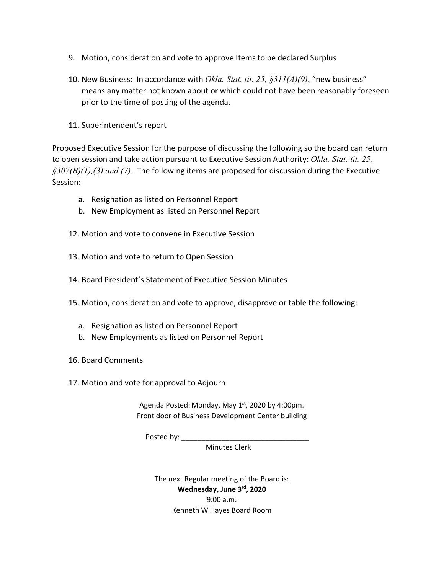- 9. Motion, consideration and vote to approve Items to be declared Surplus
- 10. New Business: In accordance with *Okla. Stat. tit. 25, §311(A)(9)*, "new business" means any matter not known about or which could not have been reasonably foreseen prior to the time of posting of the agenda.
- 11. Superintendent's report

Proposed Executive Session for the purpose of discussing the following so the board can return to open session and take action pursuant to Executive Session Authority: *Okla. Stat. tit. 25, §307(B)(1),(3) and (7).* The following items are proposed for discussion during the Executive Session:

- a. Resignation as listed on Personnel Report
- b. New Employment as listed on Personnel Report
- 12. Motion and vote to convene in Executive Session
- 13. Motion and vote to return to Open Session
- 14. Board President's Statement of Executive Session Minutes

15. Motion, consideration and vote to approve, disapprove or table the following:

- a. Resignation as listed on Personnel Report
- b. New Employments as listed on Personnel Report
- 16. Board Comments
- 17. Motion and vote for approval to Adjourn

Agenda Posted: Monday, May  $1<sup>st</sup>$ , 2020 by 4:00pm. Front door of Business Development Center building

Posted by: \_\_\_\_\_\_\_\_\_\_\_\_\_\_\_\_\_\_\_\_\_\_\_\_\_\_\_\_\_\_\_\_

Minutes Clerk

The next Regular meeting of the Board is: **Wednesday, June 3rd, 2020** 9:00 a.m. Kenneth W Hayes Board Room